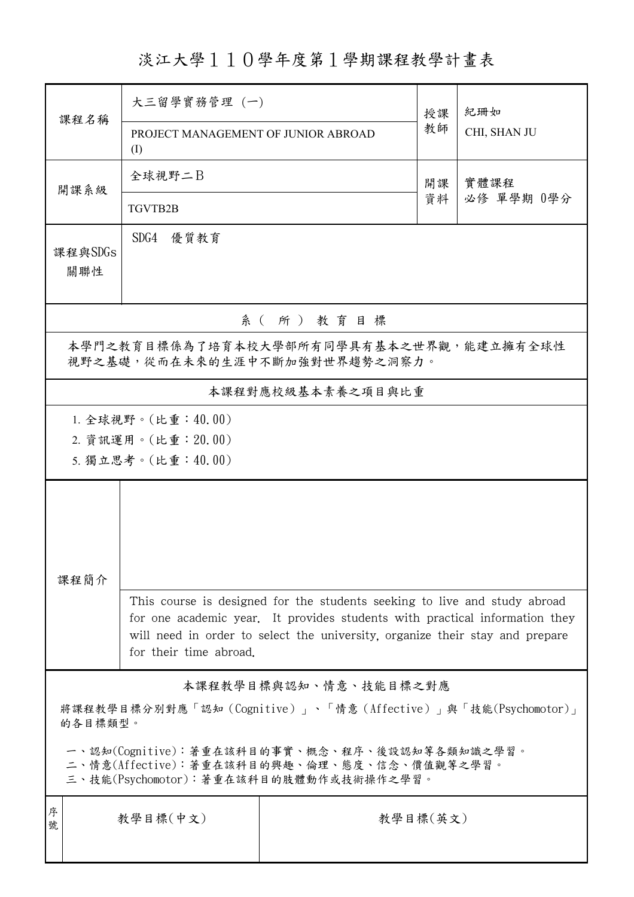淡江大學110學年度第1學期課程教學計畫表

| 課程名稱                                                                                                                                   | 大三留學實務管理 (一)                                                                                                                                                |          | 授課 | 紀珊如                |  |  |
|----------------------------------------------------------------------------------------------------------------------------------------|-------------------------------------------------------------------------------------------------------------------------------------------------------------|----------|----|--------------------|--|--|
|                                                                                                                                        | PROJECT MANAGEMENT OF JUNIOR ABROAD<br>(I)                                                                                                                  |          | 教師 | CHI, SHAN JU       |  |  |
| 開課系級                                                                                                                                   | 全球視野二B                                                                                                                                                      |          | 開課 | 實體課程<br>必修 單學期 0學分 |  |  |
|                                                                                                                                        | TGVTB2B                                                                                                                                                     |          | 資料 |                    |  |  |
| 課程與SDGs                                                                                                                                | SDG4 優質教育                                                                                                                                                   |          |    |                    |  |  |
| 關聯性                                                                                                                                    |                                                                                                                                                             |          |    |                    |  |  |
| 系(所)教育目標                                                                                                                               |                                                                                                                                                             |          |    |                    |  |  |
| 本學門之教育目標係為了培育本校大學部所有同學具有基本之世界觀,能建立擁有全球性<br>視野之基礎,從而在未來的生涯中不斷加強對世界趨勢之洞察力。                                                               |                                                                                                                                                             |          |    |                    |  |  |
| 本課程對應校級基本素養之項目與比重                                                                                                                      |                                                                                                                                                             |          |    |                    |  |  |
|                                                                                                                                        | 1. 全球視野。(比重:40.00)                                                                                                                                          |          |    |                    |  |  |
|                                                                                                                                        | 2. 資訊運用。(比重: 20.00)                                                                                                                                         |          |    |                    |  |  |
|                                                                                                                                        | 5. 獨立思考。(比重:40.00)                                                                                                                                          |          |    |                    |  |  |
|                                                                                                                                        |                                                                                                                                                             |          |    |                    |  |  |
|                                                                                                                                        |                                                                                                                                                             |          |    |                    |  |  |
| 課程簡介                                                                                                                                   |                                                                                                                                                             |          |    |                    |  |  |
|                                                                                                                                        | This course is designed for the students seeking to live and study abroad                                                                                   |          |    |                    |  |  |
|                                                                                                                                        | for one academic year. It provides students with practical information they<br>will need in order to select the university, organize their stay and prepare |          |    |                    |  |  |
|                                                                                                                                        | for their time abroad.                                                                                                                                      |          |    |                    |  |  |
| 本課程教學目標與認知、情意、技能目標之對應                                                                                                                  |                                                                                                                                                             |          |    |                    |  |  |
| 將課程教學目標分別對應「認知(Cognitive)」、「情意(Affective)」與「技能(Psychomotor)」<br>的各目標類型。                                                                |                                                                                                                                                             |          |    |                    |  |  |
| 一、認知(Cognitive):著重在該科目的事實、概念、程序、後設認知等各類知識之學習。<br>二、情意(Affective):著重在該科目的興趣、倫理、態度、信念、價值觀等之學習。<br>三、技能(Psychomotor):著重在該科目的肢體動作或技術操作之學習。 |                                                                                                                                                             |          |    |                    |  |  |
| 序<br>號                                                                                                                                 | 教學目標(中文)                                                                                                                                                    | 教學目標(英文) |    |                    |  |  |
|                                                                                                                                        |                                                                                                                                                             |          |    |                    |  |  |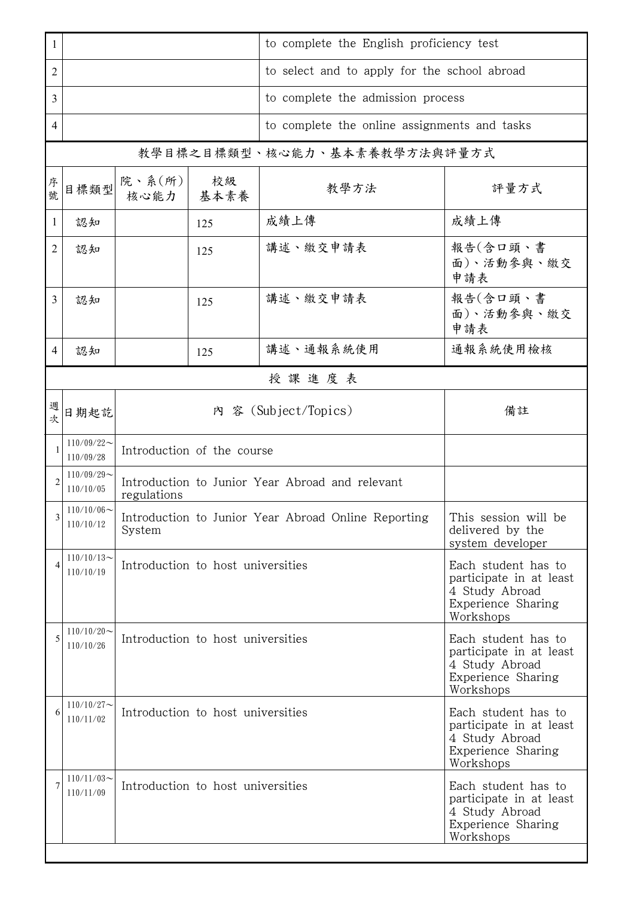| 1              |                                                                 |                                                                                                                                          |     | to complete the English proficiency test                                                            |                               |  |
|----------------|-----------------------------------------------------------------|------------------------------------------------------------------------------------------------------------------------------------------|-----|-----------------------------------------------------------------------------------------------------|-------------------------------|--|
| 2              |                                                                 |                                                                                                                                          |     | to select and to apply for the school abroad                                                        |                               |  |
| 3              |                                                                 |                                                                                                                                          |     | to complete the admission process                                                                   |                               |  |
| 4              |                                                                 |                                                                                                                                          |     | to complete the online assignments and tasks                                                        |                               |  |
|                | 教學目標之目標類型、核心能力、基本素養教學方法與評量方式                                    |                                                                                                                                          |     |                                                                                                     |                               |  |
| 序號             | 目標類型                                                            | 院、系 $(\text{m})$<br>核心能力   基本素養                                                                                                          | 校級  | 教學方法                                                                                                | 評量方式                          |  |
| 1              | 認知                                                              |                                                                                                                                          | 125 | 成績上傳                                                                                                | 成績上傳                          |  |
| 2              | 認知                                                              |                                                                                                                                          | 125 | 講述、繳交申請表                                                                                            | 報告(含口頭、書<br>面)、活動參與、繳交<br>申請表 |  |
| 3              | 認知                                                              |                                                                                                                                          | 125 | 講述、繳交申請表                                                                                            | 報告(含口頭、書<br>面)、活動參與、繳交<br>申請表 |  |
| $\overline{4}$ | 認知                                                              |                                                                                                                                          | 125 | 講述、通報系統使用                                                                                           | 通報系統使用檢核                      |  |
|                | 授課進度表                                                           |                                                                                                                                          |     |                                                                                                     |                               |  |
| 週次             | 日期起訖                                                            |                                                                                                                                          | 備註  |                                                                                                     |                               |  |
| 1              | $110/09/22$ ~<br>110/09/28                                      | Introduction of the course                                                                                                               |     |                                                                                                     |                               |  |
|                | $110/09/29$ ~<br>110/10/05                                      | Introduction to Junior Year Abroad and relevant<br>regulations                                                                           |     |                                                                                                     |                               |  |
| 3              | $110/10/06$ ~<br>110/10/12                                      | Introduction to Junior Year Abroad Online Reporting<br>This session will be<br>delivered by the<br>System<br>system developer            |     |                                                                                                     |                               |  |
| 4              | $110/10/13$ ~<br>110/10/19                                      | Introduction to host universities<br>Each student has to<br>participate in at least<br>4 Study Abroad<br>Experience Sharing<br>Workshops |     |                                                                                                     |                               |  |
| 5              | $110/10/20$ ~<br>Introduction to host universities<br>110/10/26 |                                                                                                                                          |     | Each student has to<br>participate in at least<br>4 Study Abroad<br>Experience Sharing<br>Workshops |                               |  |
| 6              | $110/10/27$ ~<br>Introduction to host universities<br>110/11/02 |                                                                                                                                          |     | Each student has to<br>participate in at least<br>4 Study Abroad<br>Experience Sharing<br>Workshops |                               |  |
|                | $110/11/03$ ~<br>110/11/09                                      | Introduction to host universities<br>Each student has to<br>participate in at least<br>4 Study Abroad<br>Experience Sharing<br>Workshops |     |                                                                                                     |                               |  |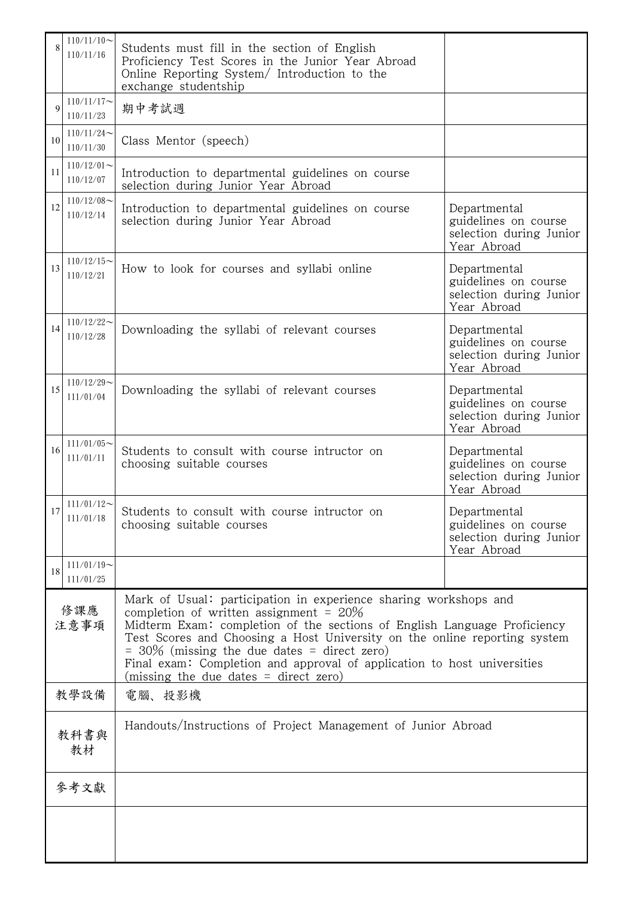|             | $110/11/10$ ~<br>110/11/16 | Students must fill in the section of English<br>Proficiency Test Scores in the Junior Year Abroad<br>Online Reporting System/ Introduction to the<br>exchange studentship                                                                                                                                                                                                                                                                       |                                                                                |  |  |  |
|-------------|----------------------------|-------------------------------------------------------------------------------------------------------------------------------------------------------------------------------------------------------------------------------------------------------------------------------------------------------------------------------------------------------------------------------------------------------------------------------------------------|--------------------------------------------------------------------------------|--|--|--|
| $\mathbf Q$ | $110/11/17$ ~<br>110/11/23 | 期中考試週                                                                                                                                                                                                                                                                                                                                                                                                                                           |                                                                                |  |  |  |
| 10          | $110/11/24$ ~<br>110/11/30 | Class Mentor (speech)                                                                                                                                                                                                                                                                                                                                                                                                                           |                                                                                |  |  |  |
| 11          | $110/12/01$ ~<br>110/12/07 | Introduction to departmental guidelines on course<br>selection during Junior Year Abroad                                                                                                                                                                                                                                                                                                                                                        |                                                                                |  |  |  |
| 12          | $110/12/08$ ~<br>110/12/14 | Introduction to departmental guidelines on course<br>selection during Junior Year Abroad                                                                                                                                                                                                                                                                                                                                                        | Departmental<br>guidelines on course<br>selection during Junior<br>Year Abroad |  |  |  |
| 13          | $110/12/15$ ~<br>110/12/21 | How to look for courses and syllabi online                                                                                                                                                                                                                                                                                                                                                                                                      | Departmental<br>guidelines on course<br>selection during Junior<br>Year Abroad |  |  |  |
| 14          | $110/12/22$ ~<br>110/12/28 | Downloading the syllabi of relevant courses                                                                                                                                                                                                                                                                                                                                                                                                     | Departmental<br>guidelines on course<br>selection during Junior<br>Year Abroad |  |  |  |
| 15          | $110/12/29$ ~<br>111/01/04 | Downloading the syllabi of relevant courses                                                                                                                                                                                                                                                                                                                                                                                                     | Departmental<br>guidelines on course<br>selection during Junior<br>Year Abroad |  |  |  |
| 16          | $111/01/05$ ~<br>111/01/11 | Students to consult with course intructor on<br>choosing suitable courses                                                                                                                                                                                                                                                                                                                                                                       | Departmental<br>guidelines on course<br>selection during Junior<br>Year Abroad |  |  |  |
| 17          | $111/01/12$ ~<br>111/01/18 | Students to consult with course intructor on<br>choosing suitable courses                                                                                                                                                                                                                                                                                                                                                                       | Departmental<br>guidelines on course<br>selection during Junior<br>Year Abroad |  |  |  |
| 18          | $111/01/19$ ~<br>111/01/25 |                                                                                                                                                                                                                                                                                                                                                                                                                                                 |                                                                                |  |  |  |
| 修課應<br>注意事項 |                            | Mark of Usual: participation in experience sharing workshops and<br>completion of written assignment = $20\%$<br>Midterm Exam: completion of the sections of English Language Proficiency<br>Test Scores and Choosing a Host University on the online reporting system<br>$=$ 30% (missing the due dates $=$ direct zero)<br>Final exam: Completion and approval of application to host universities<br>(missing the due dates $=$ direct zero) |                                                                                |  |  |  |
| 教學設備        |                            | 電腦、投影機                                                                                                                                                                                                                                                                                                                                                                                                                                          |                                                                                |  |  |  |
| 教科書與<br>教材  |                            | Handouts/Instructions of Project Management of Junior Abroad                                                                                                                                                                                                                                                                                                                                                                                    |                                                                                |  |  |  |
|             | 參考文獻                       |                                                                                                                                                                                                                                                                                                                                                                                                                                                 |                                                                                |  |  |  |
|             |                            |                                                                                                                                                                                                                                                                                                                                                                                                                                                 |                                                                                |  |  |  |